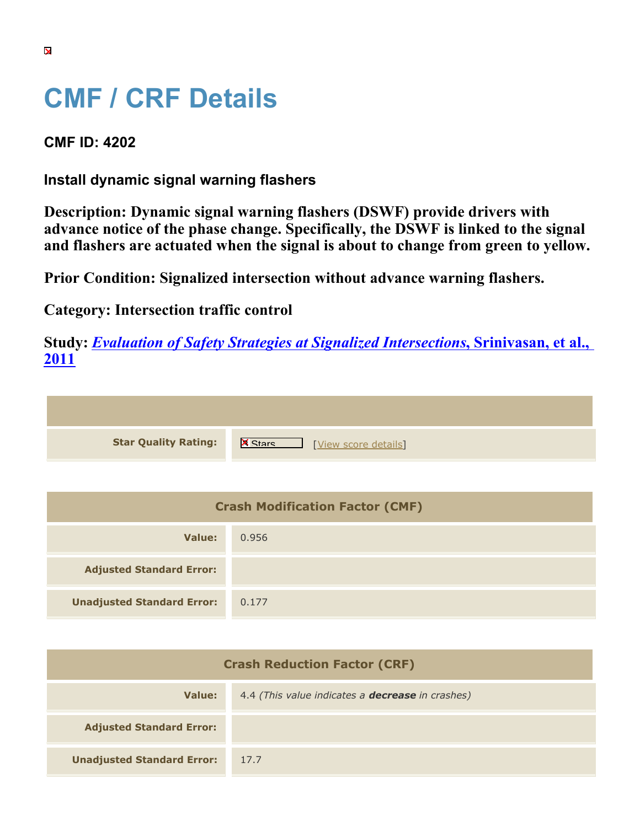## **CMF / CRF Details**

**CMF ID: 4202**

**Install dynamic signal warning flashers**

**Description: Dynamic signal warning flashers (DSWF) provide drivers with advance notice of the phase change. Specifically, the DSWF is linked to the signal and flashers are actuated when the signal is about to change from green to yellow.**

**Prior Condition: Signalized intersection without advance warning flashers.**

**Category: Intersection traffic control**

**Study:** *[Evaluation of Safety Strategies at Signalized Intersections](https://cmfclearinghouse.org/study_detail.cfm?stid=290)***[, Srinivasan, et al.,](https://cmfclearinghouse.org/study_detail.cfm?stid=290) [2011](https://cmfclearinghouse.org/study_detail.cfm?stid=290)**

**Star Quality Rating:** X Wew score details]

| <b>Crash Modification Factor (CMF)</b> |       |  |
|----------------------------------------|-------|--|
| Value:                                 | 0.956 |  |
| <b>Adjusted Standard Error:</b>        |       |  |
| <b>Unadjusted Standard Error:</b>      | 0.177 |  |

| <b>Crash Reduction Factor (CRF)</b> |                                                         |
|-------------------------------------|---------------------------------------------------------|
| Value:                              | 4.4 (This value indicates a <b>decrease</b> in crashes) |
| <b>Adjusted Standard Error:</b>     |                                                         |
| <b>Unadjusted Standard Error:</b>   | 17.7                                                    |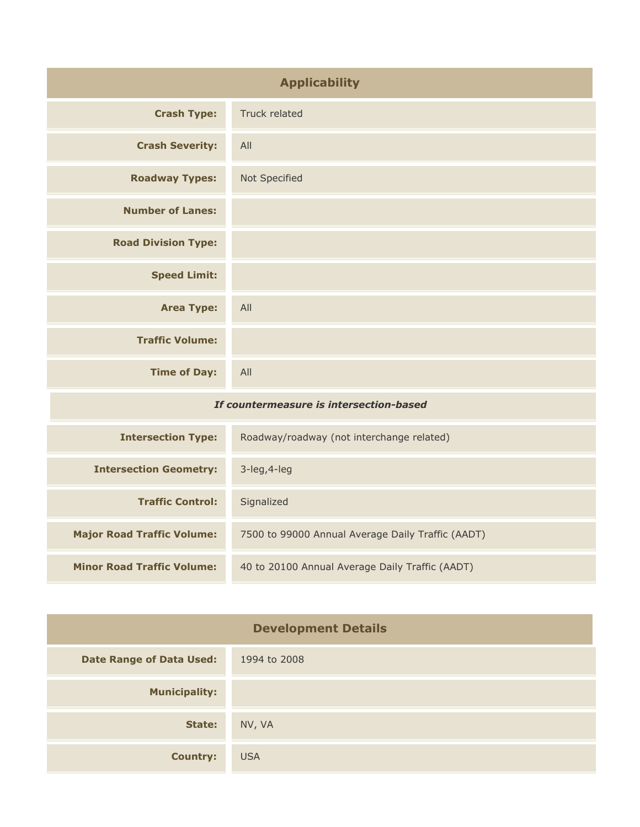| <b>Applicability</b>                    |                                           |
|-----------------------------------------|-------------------------------------------|
| <b>Crash Type:</b>                      | Truck related                             |
| <b>Crash Severity:</b>                  | All                                       |
| <b>Roadway Types:</b>                   | Not Specified                             |
| <b>Number of Lanes:</b>                 |                                           |
| <b>Road Division Type:</b>              |                                           |
| <b>Speed Limit:</b>                     |                                           |
| <b>Area Type:</b>                       | All                                       |
| <b>Traffic Volume:</b>                  |                                           |
| <b>Time of Day:</b>                     | All                                       |
| If countermeasure is intersection-based |                                           |
| <b>Intersection Type:</b>               | Roadway/roadway (not interchange related) |

| Intersection Type:                | Roadway/roadway (not interchange related)         |
|-----------------------------------|---------------------------------------------------|
| <b>Intersection Geometry:</b>     | $3$ -leg, $4$ -leg                                |
| <b>Traffic Control:</b>           | Signalized                                        |
| <b>Major Road Traffic Volume:</b> | 7500 to 99000 Annual Average Daily Traffic (AADT) |
| <b>Minor Road Traffic Volume:</b> | 40 to 20100 Annual Average Daily Traffic (AADT)   |

| <b>Development Details</b>      |              |
|---------------------------------|--------------|
| <b>Date Range of Data Used:</b> | 1994 to 2008 |
| <b>Municipality:</b>            |              |
| State:                          | NV, VA       |
| <b>Country:</b>                 | <b>USA</b>   |